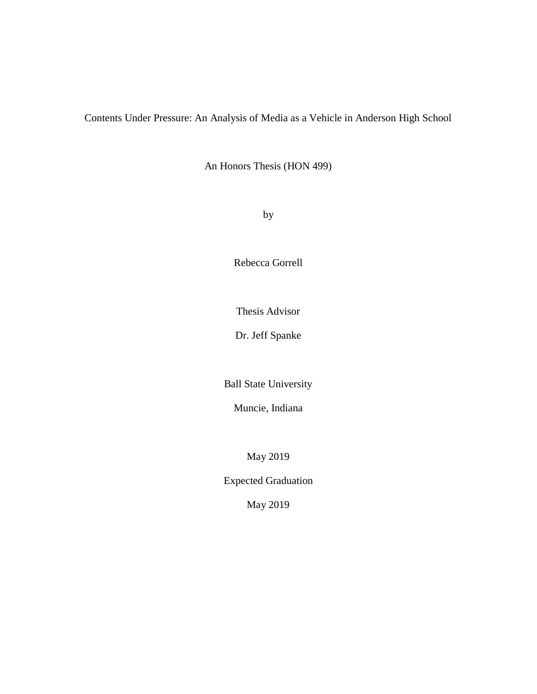Contents Under Pressure: An Analysis of Media as a Vehicle in Anderson High School

An Honors Thesis (HON 499)

by

Rebecca Gorrell

Thesis Advisor

Dr. Jeff Spanke

Ball State University

Muncie, Indiana

May 2019

Expected Graduation

May 2019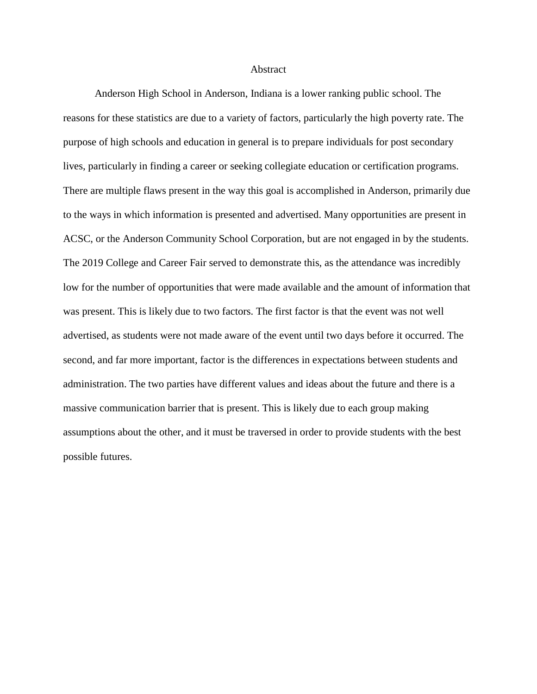## Abstract

Anderson High School in Anderson, Indiana is a lower ranking public school. The reasons for these statistics are due to a variety of factors, particularly the high poverty rate. The purpose of high schools and education in general is to prepare individuals for post secondary lives, particularly in finding a career or seeking collegiate education or certification programs. There are multiple flaws present in the way this goal is accomplished in Anderson, primarily due to the ways in which information is presented and advertised. Many opportunities are present in ACSC, or the Anderson Community School Corporation, but are not engaged in by the students. The 2019 College and Career Fair served to demonstrate this, as the attendance was incredibly low for the number of opportunities that were made available and the amount of information that was present. This is likely due to two factors. The first factor is that the event was not well advertised, as students were not made aware of the event until two days before it occurred. The second, and far more important, factor is the differences in expectations between students and administration. The two parties have different values and ideas about the future and there is a massive communication barrier that is present. This is likely due to each group making assumptions about the other, and it must be traversed in order to provide students with the best possible futures.